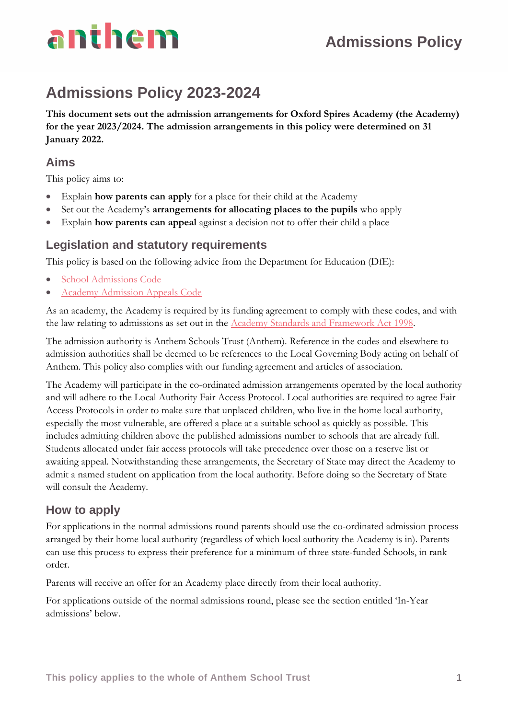## **Admissions Policy**

## **Admissions Policy 2023-2024**

**This document sets out the admission arrangements for Oxford Spires Academy (the Academy) for the year 2023/2024. The admission arrangements in this policy were determined on 31 January 2022.**

### **Aims**

This policy aims to:

- Explain **how parents can apply** for a place for their child at the Academy
- Set out the Academy's **arrangements for allocating places to the pupils** who apply
- Explain **how parents can appeal** against a decision not to offer their child a place

### **Legislation and statutory requirements**

This policy is based on the following advice from the Department for Education (DfE):

- [School Admissions Code](https://www.gov.uk/government/publications/school-admissions-code--2)
- Academy [Admission Appeals Code](https://www.gov.uk/government/publications/school-admissions-appeals-code)

As an academy, the Academy is required by its funding agreement to comply with these codes, and with the law relating to admissions as set out in the Academy [Standards and Framework Act 1998.](http://www.legislation.gov.uk/ukpga/1998/31/contents)

The admission authority is Anthem Schools Trust (Anthem). Reference in the codes and elsewhere to admission authorities shall be deemed to be references to the Local Governing Body acting on behalf of Anthem. This policy also complies with our funding agreement and articles of association.

The Academy will participate in the co-ordinated admission arrangements operated by the local authority and will adhere to the Local Authority Fair Access Protocol. Local authorities are required to agree Fair Access Protocols in order to make sure that unplaced children, who live in the home local authority, especially the most vulnerable, are offered a place at a suitable school as quickly as possible. This includes admitting children above the published admissions number to schools that are already full. Students allocated under fair access protocols will take precedence over those on a reserve list or awaiting appeal. Notwithstanding these arrangements, the Secretary of State may direct the Academy to admit a named student on application from the local authority. Before doing so the Secretary of State will consult the Academy.

### **How to apply**

For applications in the normal admissions round parents should use the co-ordinated admission process arranged by their home local authority (regardless of which local authority the Academy is in). Parents can use this process to express their preference for a minimum of three state-funded Schools, in rank order.

Parents will receive an offer for an Academy place directly from their local authority.

For applications outside of the normal admissions round, please see the section entitled 'In-Year admissions' below.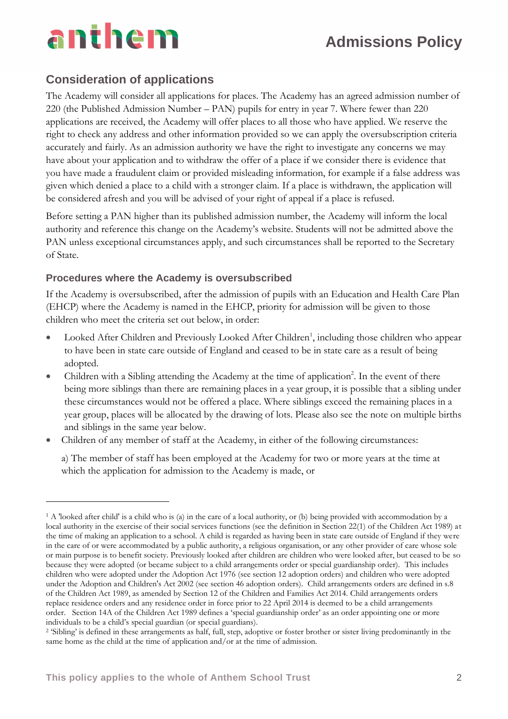## **Admissions Policy**

### **Consideration of applications**

The Academy will consider all applications for places. The Academy has an agreed admission number of 220 (the Published Admission Number – PAN) pupils for entry in year 7. Where fewer than 220 applications are received, the Academy will offer places to all those who have applied. We reserve the right to check any address and other information provided so we can apply the oversubscription criteria accurately and fairly. As an admission authority we have the right to investigate any concerns we may have about your application and to withdraw the offer of a place if we consider there is evidence that you have made a fraudulent claim or provided misleading information, for example if a false address was given which denied a place to a child with a stronger claim. If a place is withdrawn, the application will be considered afresh and you will be advised of your right of appeal if a place is refused.

Before setting a PAN higher than its published admission number, the Academy will inform the local authority and reference this change on the Academy's website. Students will not be admitted above the PAN unless exceptional circumstances apply, and such circumstances shall be reported to the Secretary of State.

#### **Procedures where the Academy is oversubscribed**

If the Academy is oversubscribed, after the admission of pupils with an Education and Health Care Plan (EHCP) where the Academy is named in the EHCP, priority for admission will be given to those children who meet the criteria set out below, in order:

- Looked After Children and Previously Looked After Children<sup>1</sup>, including those children who appear to have been in state care outside of England and ceased to be in state care as a result of being adopted.
- Children with a Sibling attending the Academy at the time of application<sup>2</sup>. In the event of there being more siblings than there are remaining places in a year group, it is possible that a sibling under these circumstances would not be offered a place. Where siblings exceed the remaining places in a year group, places will be allocated by the drawing of lots. Please also see the note on multiple births and siblings in the same year below.
- Children of any member of staff at the Academy, in either of the following circumstances:

a) The member of staff has been employed at the Academy for two or more years at the time at which the application for admission to the Academy is made, or

<sup>1</sup> A 'looked after child' is a child who is (a) in the care of a local authority, or (b) being provided with accommodation by a local authority in the exercise of their social services functions (see the definition in Section 22(1) of the Children Act 1989) at the time of making an application to a school. A child is regarded as having been in state care outside of England if they were in the care of or were accommodated by a public authority, a religious organisation, or any other provider of care whose sole or main purpose is to benefit society. Previously looked after children are children who were looked after, but ceased to be so because they were adopted (or became subject to a child arrangements order or special guardianship order). This includes children who were adopted under the Adoption Act 1976 (see section 12 adoption orders) and children who were adopted under the Adoption and Children's Act 2002 (see section 46 adoption orders). Child arrangements orders are defined in s.8 of the Children Act 1989, as amended by Section 12 of the Children and Families Act 2014. Child arrangements orders replace residence orders and any residence order in force prior to 22 April 2014 is deemed to be a child arrangements order. Section 14A of the Children Act 1989 defines a 'special guardianship order' as an order appointing one or more individuals to be a child's special guardian (or special guardians).

<sup>2</sup> 'Sibling' is defined in these arrangements as half, full, step, adoptive or foster brother or sister living predominantly in the same home as the child at the time of application and/or at the time of admission.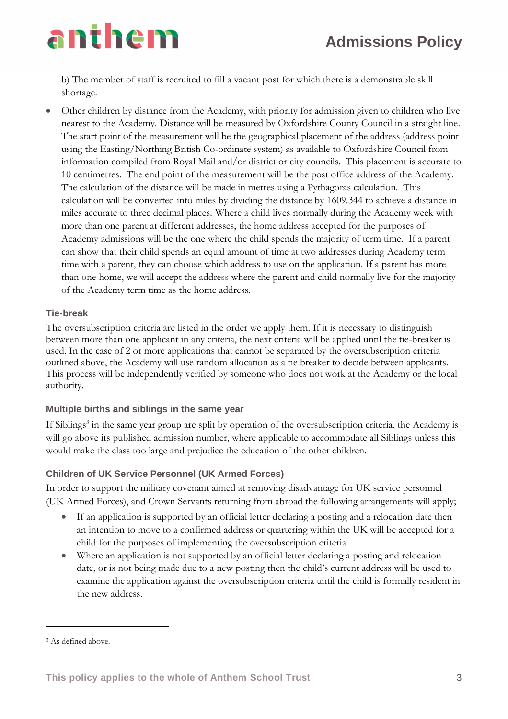b) The member of staff is recruited to fill a vacant post for which there is a demonstrable skill shortage.

• Other children by distance from the Academy, with priority for admission given to children who live nearest to the Academy. Distance will be measured by Oxfordshire County Council in a straight line. The start point of the measurement will be the geographical placement of the address (address point using the Easting/Northing British Co-ordinate system) as available to Oxfordshire Council from information compiled from Royal Mail and/or district or city councils. This placement is accurate to 10 centimetres. The end point of the measurement will be the post office address of the Academy. The calculation of the distance will be made in metres using a Pythagoras calculation. This calculation will be converted into miles by dividing the distance by 1609.344 to achieve a distance in miles accurate to three decimal places. Where a child lives normally during the Academy week with more than one parent at different addresses, the home address accepted for the purposes of Academy admissions will be the one where the child spends the majority of term time. If a parent can show that their child spends an equal amount of time at two addresses during Academy term time with a parent, they can choose which address to use on the application. If a parent has more than one home, we will accept the address where the parent and child normally live for the majority of the Academy term time as the home address.

### **Tie-break**

The oversubscription criteria are listed in the order we apply them. If it is necessary to distinguish between more than one applicant in any criteria, the next criteria will be applied until the tie-breaker is used. In the case of 2 or more applications that cannot be separated by the oversubscription criteria outlined above, the Academy will use random allocation as a tie breaker to decide between applicants. This process will be independently verified by someone who does not work at the Academy or the local authority.

### **Multiple births and siblings in the same year**

If Siblings<sup>3</sup> in the same year group are split by operation of the oversubscription criteria, the Academy is will go above its published admission number, where applicable to accommodate all Siblings unless this would make the class too large and prejudice the education of the other children.

### **Children of UK Service Personnel (UK Armed Forces)**

In order to support the military covenant aimed at removing disadvantage for UK service personnel (UK Armed Forces), and Crown Servants returning from abroad the following arrangements will apply;

- If an application is supported by an official letter declaring a posting and a relocation date then an intention to move to a confirmed address or quartering within the UK will be accepted for a child for the purposes of implementing the oversubscription criteria.
- Where an application is not supported by an official letter declaring a posting and relocation date, or is not being made due to a new posting then the child's current address will be used to examine the application against the oversubscription criteria until the child is formally resident in the new address.

<sup>3</sup> As defined above.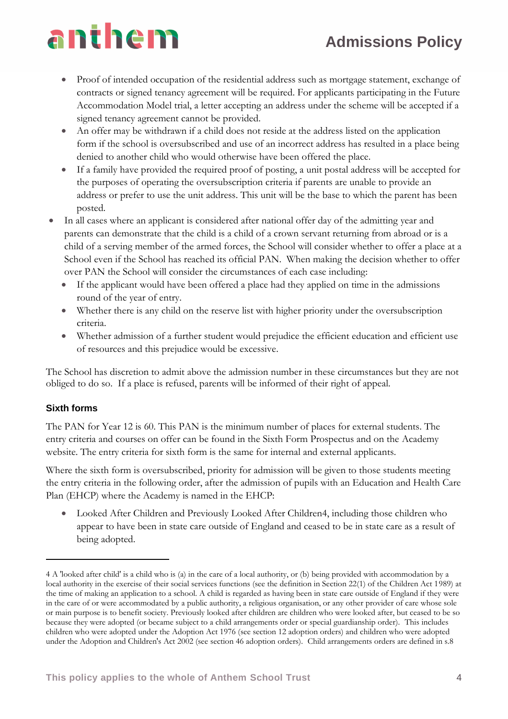## **Admissions Policy**

# anthem

- Proof of intended occupation of the residential address such as mortgage statement, exchange of contracts or signed tenancy agreement will be required. For applicants participating in the Future Accommodation Model trial, a letter accepting an address under the scheme will be accepted if a signed tenancy agreement cannot be provided.
- An offer may be withdrawn if a child does not reside at the address listed on the application form if the school is oversubscribed and use of an incorrect address has resulted in a place being denied to another child who would otherwise have been offered the place.
- If a family have provided the required proof of posting, a unit postal address will be accepted for the purposes of operating the oversubscription criteria if parents are unable to provide an address or prefer to use the unit address. This unit will be the base to which the parent has been posted.
- In all cases where an applicant is considered after national offer day of the admitting year and parents can demonstrate that the child is a child of a crown servant returning from abroad or is a child of a serving member of the armed forces, the School will consider whether to offer a place at a School even if the School has reached its official PAN. When making the decision whether to offer over PAN the School will consider the circumstances of each case including:
	- If the applicant would have been offered a place had they applied on time in the admissions round of the year of entry.
	- Whether there is any child on the reserve list with higher priority under the oversubscription criteria.
	- Whether admission of a further student would prejudice the efficient education and efficient use of resources and this prejudice would be excessive.

The School has discretion to admit above the admission number in these circumstances but they are not obliged to do so. If a place is refused, parents will be informed of their right of appeal.

### **Sixth forms**

The PAN for Year 12 is 60. This PAN is the minimum number of places for external students. The entry criteria and courses on offer can be found in the Sixth Form Prospectus and on the Academy website. The entry criteria for sixth form is the same for internal and external applicants.

Where the sixth form is oversubscribed, priority for admission will be given to those students meeting the entry criteria in the following order, after the admission of pupils with an Education and Health Care Plan (EHCP) where the Academy is named in the EHCP:

• Looked After Children and Previously Looked After Children4, including those children who appear to have been in state care outside of England and ceased to be in state care as a result of being adopted.

<sup>4</sup> A 'looked after child' is a child who is (a) in the care of a local authority, or (b) being provided with accommodation by a local authority in the exercise of their social services functions (see the definition in Section 22(1) of the Children Act 1989) at the time of making an application to a school. A child is regarded as having been in state care outside of England if they were in the care of or were accommodated by a public authority, a religious organisation, or any other provider of care whose sole or main purpose is to benefit society. Previously looked after children are children who were looked after, but ceased to be so because they were adopted (or became subject to a child arrangements order or special guardianship order). This includes children who were adopted under the Adoption Act 1976 (see section 12 adoption orders) and children who were adopted under the Adoption and Children's Act 2002 (see section 46 adoption orders). Child arrangements orders are defined in s.8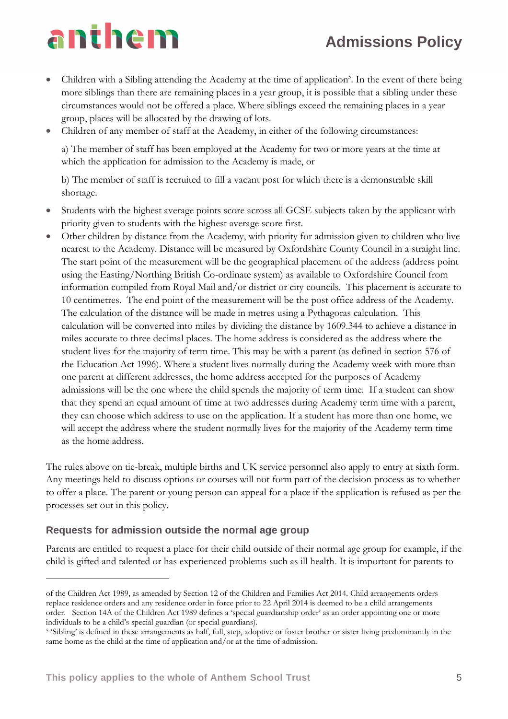## **Admissions Policy**

# anthem

- Children with a Sibling attending the Academy at the time of application<sup>5</sup>. In the event of there being more siblings than there are remaining places in a year group, it is possible that a sibling under these circumstances would not be offered a place. Where siblings exceed the remaining places in a year group, places will be allocated by the drawing of lots.
- Children of any member of staff at the Academy, in either of the following circumstances:

a) The member of staff has been employed at the Academy for two or more years at the time at which the application for admission to the Academy is made, or

b) The member of staff is recruited to fill a vacant post for which there is a demonstrable skill shortage.

- Students with the highest average points score across all GCSE subjects taken by the applicant with priority given to students with the highest average score first.
- Other children by distance from the Academy, with priority for admission given to children who live nearest to the Academy. Distance will be measured by Oxfordshire County Council in a straight line. The start point of the measurement will be the geographical placement of the address (address point using the Easting/Northing British Co-ordinate system) as available to Oxfordshire Council from information compiled from Royal Mail and/or district or city councils. This placement is accurate to 10 centimetres. The end point of the measurement will be the post office address of the Academy. The calculation of the distance will be made in metres using a Pythagoras calculation. This calculation will be converted into miles by dividing the distance by 1609.344 to achieve a distance in miles accurate to three decimal places. The home address is considered as the address where the student lives for the majority of term time. This may be with a parent (as defined in section 576 of the Education Act 1996). Where a student lives normally during the Academy week with more than one parent at different addresses, the home address accepted for the purposes of Academy admissions will be the one where the child spends the majority of term time. If a student can show that they spend an equal amount of time at two addresses during Academy term time with a parent, they can choose which address to use on the application. If a student has more than one home, we will accept the address where the student normally lives for the majority of the Academy term time as the home address.

The rules above on tie-break, multiple births and UK service personnel also apply to entry at sixth form. Any meetings held to discuss options or courses will not form part of the decision process as to whether to offer a place. The parent or young person can appeal for a place if the application is refused as per the processes set out in this policy.

### **Requests for admission outside the normal age group**

Parents are entitled to request a place for their child outside of their normal age group for example, if the child is gifted and talented or has experienced problems such as ill health. It is important for parents to

of the Children Act 1989, as amended by Section 12 of the Children and Families Act 2014. Child arrangements orders replace residence orders and any residence order in force prior to 22 April 2014 is deemed to be a child arrangements order. Section 14A of the Children Act 1989 defines a 'special guardianship order' as an order appointing one or more individuals to be a child's special guardian (or special guardians).

<sup>&</sup>lt;sup>5</sup> 'Sibling' is defined in these arrangements as half, full, step, adoptive or foster brother or sister living predominantly in the same home as the child at the time of application and/or at the time of admission.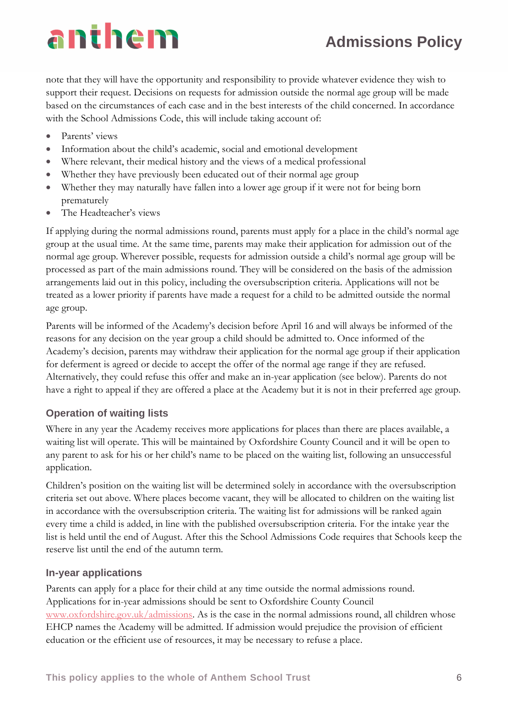## **Admissions Policy**

note that they will have the opportunity and responsibility to provide whatever evidence they wish to support their request. Decisions on requests for admission outside the normal age group will be made based on the circumstances of each case and in the best interests of the child concerned. In accordance with the School Admissions Code, this will include taking account of:

- Parents' views
- Information about the child's academic, social and emotional development
- Where relevant, their medical history and the views of a medical professional
- Whether they have previously been educated out of their normal age group
- Whether they may naturally have fallen into a lower age group if it were not for being born prematurely
- The Headteacher's views

If applying during the normal admissions round, parents must apply for a place in the child's normal age group at the usual time. At the same time, parents may make their application for admission out of the normal age group. Wherever possible, requests for admission outside a child's normal age group will be processed as part of the main admissions round. They will be considered on the basis of the admission arrangements laid out in this policy, including the oversubscription criteria. Applications will not be treated as a lower priority if parents have made a request for a child to be admitted outside the normal age group.

Parents will be informed of the Academy's decision before April 16 and will always be informed of the reasons for any decision on the year group a child should be admitted to. Once informed of the Academy's decision, parents may withdraw their application for the normal age group if their application for deferment is agreed or decide to accept the offer of the normal age range if they are refused. Alternatively, they could refuse this offer and make an in-year application (see below). Parents do not have a right to appeal if they are offered a place at the Academy but it is not in their preferred age group.

### **Operation of waiting lists**

Where in any year the Academy receives more applications for places than there are places available, a waiting list will operate. This will be maintained by Oxfordshire County Council and it will be open to any parent to ask for his or her child's name to be placed on the waiting list, following an unsuccessful application.

Children's position on the waiting list will be determined solely in accordance with the oversubscription criteria set out above. Where places become vacant, they will be allocated to children on the waiting list in accordance with the oversubscription criteria. The waiting list for admissions will be ranked again every time a child is added, in line with the published oversubscription criteria. For the intake year the list is held until the end of August. After this the School Admissions Code requires that Schools keep the reserve list until the end of the autumn term.

#### **In-year applications**

Parents can apply for a place for their child at any time outside the normal admissions round. Applications for in-year admissions should be sent to Oxfordshire County Council [www.oxfordshire.gov.uk/admissions.](http://www.oxfordshire.gov.uk/admissions) As is the case in the normal admissions round, all children whose EHCP names the Academy will be admitted. If admission would prejudice the provision of efficient education or the efficient use of resources, it may be necessary to refuse a place.